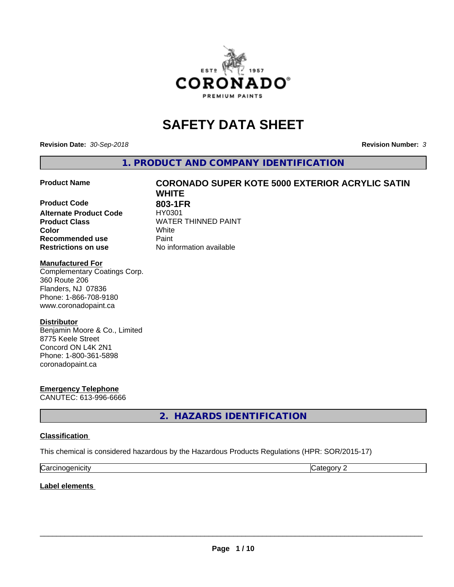

# **SAFETY DATA SHEET**

**Revision Date:** *30-Sep-2018* **Revision Number:** *3*

**1. PRODUCT AND COMPANY IDENTIFICATION**

**Product Code 803-1FR Alternate Product Code** HY0301 **Product Class** WATER THINNED PAINT<br> **Color Color** White **Recommended use Caint Restrictions on use** No information available

# **Product Name CORONADO SUPER KOTE 5000 EXTERIOR ACRYLIC SATIN WHITE**

### **Manufactured For**

Complementary Coatings Corp. 360 Route 206 Flanders, NJ 07836 Phone: 1-866-708-9180 www.coronadopaint.ca

### **Distributor**

Benjamin Moore & Co., Limited 8775 Keele Street Concord ON L4K 2N1 Phone: 1-800-361-5898 coronadopaint.ca

**Emergency Telephone** CANUTEC: 613-996-6666

**2. HAZARDS IDENTIFICATION**

### **Classification**

This chemical is considered hazardous by the Hazardous Products Regulations (HPR: SOR/2015-17)

| $\sim$   | $\sim$ |
|----------|--------|
| enicity: | .      |
| Ndi      | . .    |

**Label elements**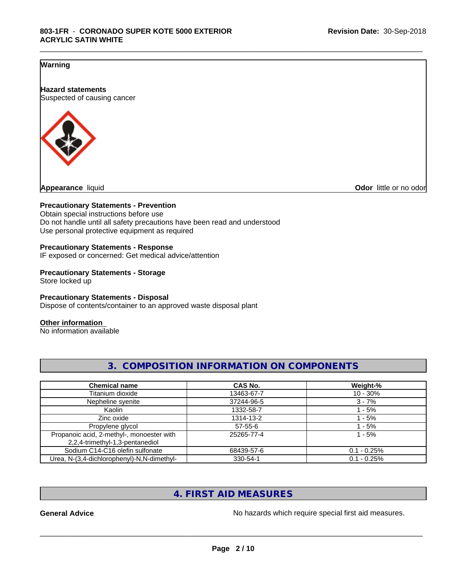\_\_\_\_\_\_\_\_\_\_\_\_\_\_\_\_\_\_\_\_\_\_\_\_\_\_\_\_\_\_\_\_\_\_\_\_\_\_\_\_\_\_\_\_\_\_\_\_\_\_\_\_\_\_\_\_\_\_\_\_\_\_\_\_\_\_\_\_\_\_\_\_\_\_\_\_\_\_\_\_\_\_\_\_\_\_\_\_\_\_\_\_\_

### **Warning**

**Hazard statements** Suspected of causing cancer



**Odor** little or no odor

### **Precautionary Statements - Prevention**

Obtain special instructions before use Do not handle until all safety precautions have been read and understood Use personal protective equipment as required

### **Precautionary Statements - Response**

IF exposed or concerned: Get medical advice/attention

# **Precautionary Statements - Storage**

Store locked up

### **Precautionary Statements - Disposal**

Dispose of contents/container to an approved waste disposal plant

### **Other information**

No information available

| <b>Chemical name</b>                                                         | <b>CAS No.</b> | Weight-%      |
|------------------------------------------------------------------------------|----------------|---------------|
| Titanium dioxide                                                             | 13463-67-7     | $10 - 30%$    |
| Nepheline syenite                                                            | 37244-96-5     | $3 - 7%$      |
| Kaolin                                                                       | 1332-58-7      | - 5%          |
| Zinc oxide                                                                   | 1314-13-2      | $-5%$         |
| Propylene glycol                                                             | $57 - 55 - 6$  | - 5%          |
| Propanoic acid, 2-methyl-, monoester with<br>2,2,4-trimethyl-1,3-pentanediol | 25265-77-4     | - 5%          |
| Sodium C14-C16 olefin sulfonate                                              | 68439-57-6     | $0.1 - 0.25%$ |
| Urea, N-(3,4-dichlorophenyl)-N,N-dimethyl-                                   | 330-54-1       | $0.1 - 0.25%$ |

**3. COMPOSITION INFORMATION ON COMPONENTS**

# **4. FIRST AID MEASURES**

General Advice **General Advice No hazards** which require special first aid measures.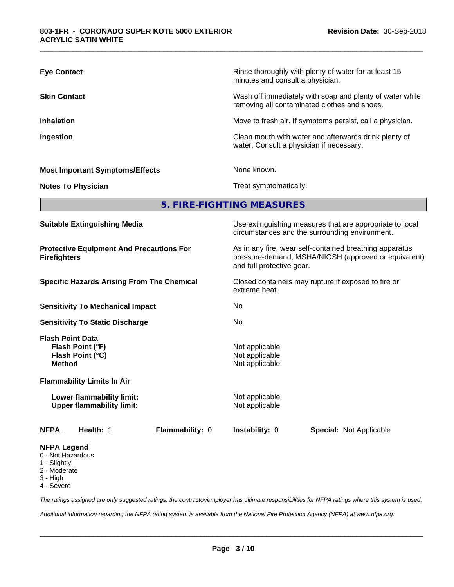| <b>Eye Contact</b>                     | Rinse thoroughly with plenty of water for at least 15<br>minutes and consult a physician.                |
|----------------------------------------|----------------------------------------------------------------------------------------------------------|
| <b>Skin Contact</b>                    | Wash off immediately with soap and plenty of water while<br>removing all contaminated clothes and shoes. |
| <b>Inhalation</b>                      | Move to fresh air. If symptoms persist, call a physician.                                                |
| Ingestion                              | Clean mouth with water and afterwards drink plenty of<br>water. Consult a physician if necessary.        |
| <b>Most Important Symptoms/Effects</b> | None known.                                                                                              |
| <b>Notes To Physician</b>              | Treat symptomatically.                                                                                   |

**5. FIRE-FIGHTING MEASURES**

| <b>Suitable Extinguishing Media</b>                                              | Use extinguishing measures that are appropriate to local<br>circumstances and the surrounding environment.                                                                                                                        |  |  |
|----------------------------------------------------------------------------------|-----------------------------------------------------------------------------------------------------------------------------------------------------------------------------------------------------------------------------------|--|--|
| <b>Protective Equipment And Precautions For</b><br><b>Firefighters</b>           | As in any fire, wear self-contained breathing apparatus<br>pressure-demand, MSHA/NIOSH (approved or equivalent)<br>and full protective gear.<br>Closed containers may rupture if exposed to fire or<br>extreme heat.<br>No<br>No. |  |  |
| <b>Specific Hazards Arising From The Chemical</b>                                |                                                                                                                                                                                                                                   |  |  |
| <b>Sensitivity To Mechanical Impact</b>                                          |                                                                                                                                                                                                                                   |  |  |
| <b>Sensitivity To Static Discharge</b>                                           |                                                                                                                                                                                                                                   |  |  |
| <b>Flash Point Data</b><br>Flash Point (°F)<br>Flash Point (°C)<br><b>Method</b> | Not applicable<br>Not applicable<br>Not applicable                                                                                                                                                                                |  |  |
| <b>Flammability Limits In Air</b>                                                |                                                                                                                                                                                                                                   |  |  |
| Lower flammability limit:<br><b>Upper flammability limit:</b>                    | Not applicable<br>Not applicable                                                                                                                                                                                                  |  |  |
| <b>NFPA</b><br>Health: 1<br>Flammability: 0                                      | <b>Instability: 0</b><br><b>Special: Not Applicable</b>                                                                                                                                                                           |  |  |
| <b>NFPA Legend</b><br>0 Not Hazardous                                            |                                                                                                                                                                                                                                   |  |  |

- 0 Not Hazardous
- 1 Slightly
- 2 Moderate
- 3 High
- 4 Severe

*The ratings assigned are only suggested ratings, the contractor/employer has ultimate responsibilities for NFPA ratings where this system is used.*

*Additional information regarding the NFPA rating system is available from the National Fire Protection Agency (NFPA) at www.nfpa.org.*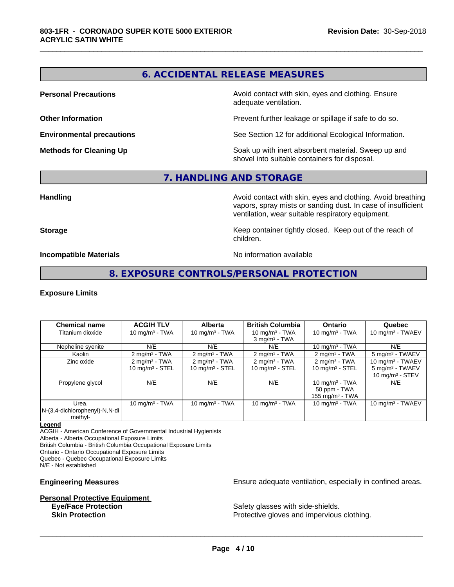# **6. ACCIDENTAL RELEASE MEASURES**

\_\_\_\_\_\_\_\_\_\_\_\_\_\_\_\_\_\_\_\_\_\_\_\_\_\_\_\_\_\_\_\_\_\_\_\_\_\_\_\_\_\_\_\_\_\_\_\_\_\_\_\_\_\_\_\_\_\_\_\_\_\_\_\_\_\_\_\_\_\_\_\_\_\_\_\_\_\_\_\_\_\_\_\_\_\_\_\_\_\_\_\_\_

**Personal Precautions Precautions** Avoid contact with skin, eyes and clothing. Ensure adequate ventilation.

**Other Information Other Information Prevent further leakage or spillage if safe to do so.** 

**Environmental precautions** See Section 12 for additional Ecological Information.

**Methods for Cleaning Up Soak** up with inert absorbent material. Sweep up and shovel into suitable containers for disposal.

# **7. HANDLING AND STORAGE**

**Handling Handling Avoid contact with skin, eyes and clothing. Avoid breathing** vapors, spray mists or sanding dust. In case of insufficient ventilation, wear suitable respiratory equipment.

**Storage** Storage **Keep container tightly closed.** Keep out of the reach of children.

**Incompatible Materials** Noinformation available

# **8. EXPOSURE CONTROLS/PERSONAL PROTECTION**

### **Exposure Limits**

| <b>Chemical name</b>                              | <b>ACGIH TLV</b>                                       | <b>Alberta</b>                                         | <b>British Columbia</b>                                   | <b>Ontario</b>                                          | Quebec                                                                 |
|---------------------------------------------------|--------------------------------------------------------|--------------------------------------------------------|-----------------------------------------------------------|---------------------------------------------------------|------------------------------------------------------------------------|
| Titanium dioxide                                  | 10 mg/m $3$ - TWA                                      | 10 mg/m $3$ - TWA                                      | 10 mg/m $3$ - TWA<br>$3$ mg/m <sup>3</sup> - TWA          | 10 mg/m $3$ - TWA                                       | 10 mg/m $3$ - TWAEV                                                    |
| Nepheline syenite                                 | N/E                                                    | N/E                                                    | N/E                                                       | 10 mg/m $3$ - TWA                                       | N/E                                                                    |
| Kaolin                                            | $2 \text{ mg/m}^3$ - TWA                               | $2 \text{ mg/m}^3$ - TWA                               | $2 \text{ mg/m}^3$ - TWA                                  | $2 \text{ mg/m}^3$ - TWA                                | 5 mg/m <sup>3</sup> - TWAEV                                            |
| Zinc oxide                                        | $2 \text{ mg/m}^3$ - TWA<br>$10 \text{ mg/m}^3$ - STEL | $2 \text{ mg/m}^3$ - TWA<br>$10 \text{ mg/m}^3$ - STEL | $2 \text{ mg/m}^3$ - TWA<br>$10$ mg/m <sup>3</sup> - STEL | $2 \text{ mg/m}^3$ - TWA<br>$10 \text{ mg/m}^3$ - STEL  | 10 mg/m $3$ - TWAEV<br>$5 \text{ mg/m}^3$ - TWAEV<br>10 $mq/m3$ - STEV |
| Propylene glycol                                  | N/E                                                    | N/E                                                    | N/E                                                       | 10 mg/m $3$ - TWA<br>50 ppm - TWA<br>155 mg/m $3$ - TWA | N/E                                                                    |
| Urea.<br>N-(3,4-dichlorophenyl)-N,N-di<br>methyl- | 10 mg/m $3$ - TWA                                      | 10 mg/m $3 - TWA$                                      | 10 mg/m $3$ - TWA                                         | 10 mg/m $3$ - TWA                                       | 10 mg/m $3$ - TWAEV                                                    |

### **Legend**

ACGIH - American Conference of Governmental Industrial Hygienists

Alberta - Alberta Occupational Exposure Limits

British Columbia - British Columbia Occupational Exposure Limits

Ontario - Ontario Occupational Exposure Limits

Quebec - Quebec Occupational Exposure Limits N/E - Not established

# **Personal Protective Equipment**<br> **Eve/Face Protection**

**Engineering Measures Engineering Measures Engineering Measures Ensure adequate ventilation, especially in confined areas.** 

Safety glasses with side-shields. **Skin Protection Protection Protective gloves and impervious clothing.**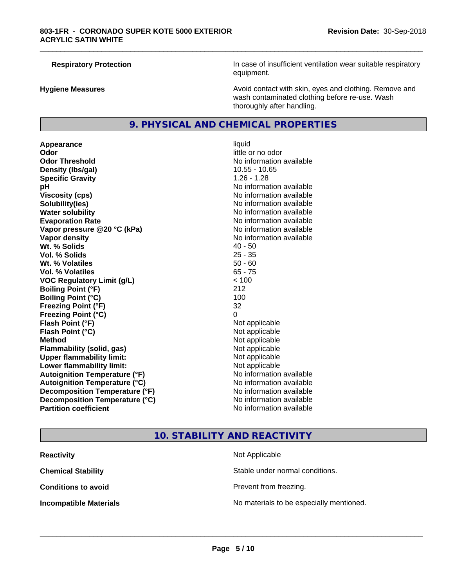**Respiratory Protection In case of insufficient ventilation wear suitable respiratory** equipment.

**Hygiene Measures Avoid contact with skin, eyes and clothing. Remove and Avoid contact with skin, eyes and clothing. Remove and Avoid contact with skin, eyes and clothing. Remove and** wash contaminated clothing before re-use. Wash thoroughly after handling.

### **9. PHYSICAL AND CHEMICAL PROPERTIES**

**Appearance** liquid **Odor** little or no odor **Odor Threshold No information available No information available Density (Ibs/gal)** 10.55 - 10.65 **Specific Gravity** 1.26 - 1.28 **pH pH**  $\blacksquare$ **Viscosity (cps)** No information available **Solubility(ies)** No information available **Water solubility Water solubility Water solubility Water solubility Water solubility Water solution Evaporation Rate No information available No information available Vapor pressure @20 °C (kPa)** No information available **Vapor density No information available Wt.** % Solids 40 - 50 **Vol. % Solids** 25 - 35 **Wt. % Volatiles** 50 - 60 **Vol. % Volatiles** 65 - 75 **VOC Regulatory Limit (g/L)**  $\leq 100$ <br> **Boiling Point (°F)** 212 **Boiling Point (°F) Boiling Point (°C)** 100 **Freezing Point (°F)** 32 **Freezing Point (°C)** 0 **Flash Point (°F)** Not applicable **Flash Point (°C)** Not applicable **Method** Not applicable **Flammability (solid, gas)** Not applicable **Upper flammability limit:** Not applicable **Lower flammability limit:** Not applicable **Autoignition Temperature (°F)** No information available **Autoignition Temperature (°C)** No information available **Decomposition Temperature (°F)** No information available **Decomposition Temperature (°C)** No information available<br> **Partition coefficient Partition available** 

# **No information available**

\_\_\_\_\_\_\_\_\_\_\_\_\_\_\_\_\_\_\_\_\_\_\_\_\_\_\_\_\_\_\_\_\_\_\_\_\_\_\_\_\_\_\_\_\_\_\_\_\_\_\_\_\_\_\_\_\_\_\_\_\_\_\_\_\_\_\_\_\_\_\_\_\_\_\_\_\_\_\_\_\_\_\_\_\_\_\_\_\_\_\_\_\_

### **10. STABILITY AND REACTIVITY**

| <b>Reactivity</b>             | Not Applicable                           |
|-------------------------------|------------------------------------------|
| <b>Chemical Stability</b>     | Stable under normal conditions.          |
| <b>Conditions to avoid</b>    | Prevent from freezing.                   |
| <b>Incompatible Materials</b> | No materials to be especially mentioned. |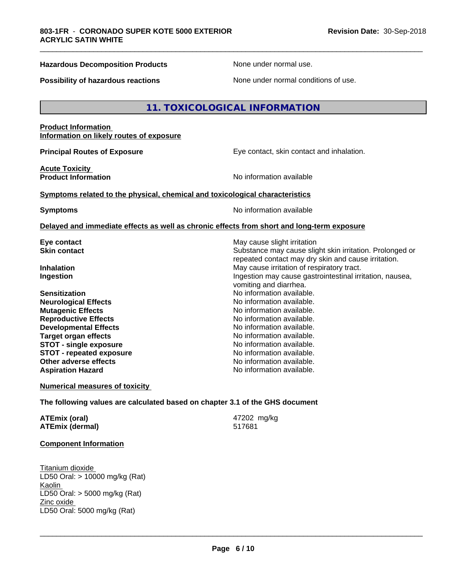### **Hazardous Decomposition Products** None under normal use.

\_\_\_\_\_\_\_\_\_\_\_\_\_\_\_\_\_\_\_\_\_\_\_\_\_\_\_\_\_\_\_\_\_\_\_\_\_\_\_\_\_\_\_\_\_\_\_\_\_\_\_\_\_\_\_\_\_\_\_\_\_\_\_\_\_\_\_\_\_\_\_\_\_\_\_\_\_\_\_\_\_\_\_\_\_\_\_\_\_\_\_\_\_

**Possibility of hazardous reactions** None under normal conditions of use.

### **11. TOXICOLOGICAL INFORMATION**

### **Product Information Information on likely routes of exposure**

**Principal Routes of Exposure Exposure** Eye contact, skin contact and inhalation.

**Acute Toxicity** 

**Product Information No information No information** available

### **Symptoms related to the physical,chemical and toxicological characteristics**

**Symptoms** No information available

### **Delayed and immediate effects as well as chronic effects from short and long-term exposure**

**Sensitization**<br> **No** information available.<br> **No** information available.<br>
No information available. **Neurological Effects Mutagenic Effects Mutagenic Effects No information available. Reproductive Effects**<br> **Reproductive Effects**<br> **Developmental Effects**<br> **No information available. Developmental Effects No information available.**<br> **Target organ effects No information available. Target organ effects STOT -** single exposure<br> **STOT -** repeated exposure<br>
No information available **STOT** - repeated exposure **Other adverse effects** Noinformation available. **Aspiration Hazard No information available.** No information available.

**Eye contact** May cause slight irritation **Skin contact** Substance may cause slight skin irritation. Prolonged or repeated contact may dry skin and cause irritation. **Inhalation** May cause irritation of respiratory tract. **Ingestion Ingestion Ingestion may cause gastrointestinal irritation, nausea,** vomiting and diarrhea.

### **Numerical measures of toxicity**

**The following values are calculated based on chapter 3.1 of the GHS document**

| ATEmix (oral)          | 47202 mg/kg |
|------------------------|-------------|
| <b>ATEmix (dermal)</b> | 517681      |

### **Component Information**

Titanium dioxide LD50 Oral: > 10000 mg/kg (Rat) Kaolin LD50 Oral: > 5000 mg/kg (Rat) Zinc oxide LD50 Oral: 5000 mg/kg (Rat)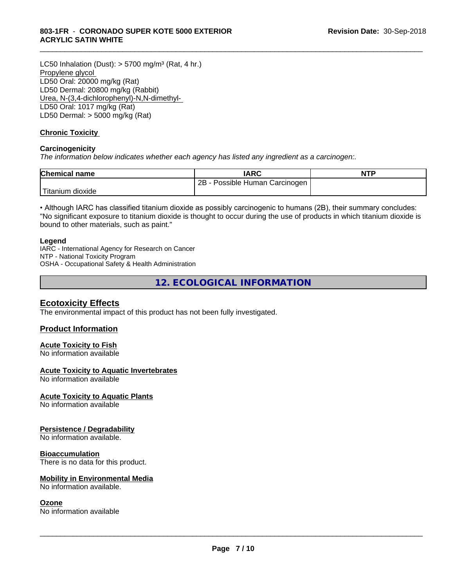LC50 Inhalation (Dust):  $> 5700$  mg/m<sup>3</sup> (Rat, 4 hr.) Propylene glycol LD50 Oral: 20000 mg/kg (Rat) LD50 Dermal: 20800 mg/kg (Rabbit) Urea, N-(3,4-dichlorophenyl)-N,N-dimethyl- LD50 Oral: 1017 mg/kg (Rat) LD50 Dermal: > 5000 mg/kg (Rat)

### **Chronic Toxicity**

### **Carcinogenicity**

*The information below indicateswhether each agency has listed any ingredient as a carcinogen:.*

| <b>Chemical name</b> | <b>IARC</b>                     | <b>NTP</b> |
|----------------------|---------------------------------|------------|
|                      | 2B<br>Possible Human Carcinogen |            |
| Titanium<br>dioxide  |                                 |            |

\_\_\_\_\_\_\_\_\_\_\_\_\_\_\_\_\_\_\_\_\_\_\_\_\_\_\_\_\_\_\_\_\_\_\_\_\_\_\_\_\_\_\_\_\_\_\_\_\_\_\_\_\_\_\_\_\_\_\_\_\_\_\_\_\_\_\_\_\_\_\_\_\_\_\_\_\_\_\_\_\_\_\_\_\_\_\_\_\_\_\_\_\_

• Although IARC has classified titanium dioxide as possibly carcinogenic to humans (2B), their summary concludes: "No significant exposure to titanium dioxide is thought to occur during the use of products in which titanium dioxide is bound to other materials, such as paint."

### **Legend**

IARC - International Agency for Research on Cancer NTP - National Toxicity Program OSHA - Occupational Safety & Health Administration

**12. ECOLOGICAL INFORMATION**

### **Ecotoxicity Effects**

The environmental impact of this product has not been fully investigated.

### **Product Information**

### **Acute Toxicity to Fish**

No information available

### **Acute Toxicity to Aquatic Invertebrates**

No information available

### **Acute Toxicity to Aquatic Plants**

No information available

### **Persistence / Degradability**

No information available.

### **Bioaccumulation**

There is no data for this product.

### **Mobility in Environmental Media**

No information available.

### **Ozone**

No information available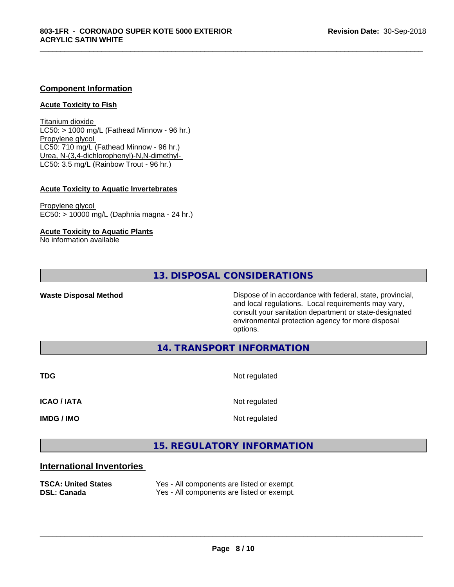### **Component Information**

### **Acute Toxicity to Fish**

Titanium dioxide  $LC50:$  > 1000 mg/L (Fathead Minnow - 96 hr.) Propylene glycol LC50: 710 mg/L (Fathead Minnow - 96 hr.) Urea, N-(3,4-dichlorophenyl)-N,N-dimethyl- LC50: 3.5 mg/L (Rainbow Trout - 96 hr.)

### **Acute Toxicity to Aquatic Invertebrates**

Propylene glycol EC50: > 10000 mg/L (Daphnia magna - 24 hr.)

### **Acute Toxicity to Aquatic Plants**

No information available

### **13. DISPOSAL CONSIDERATIONS**

**Waste Disposal Method Dispose of in accordance with federal, state, provincial,** and local regulations. Local requirements may vary, consult your sanitation department or state-designated environmental protection agency for more disposal options.

**14. TRANSPORT INFORMATION**

**TDG** Not regulated

\_\_\_\_\_\_\_\_\_\_\_\_\_\_\_\_\_\_\_\_\_\_\_\_\_\_\_\_\_\_\_\_\_\_\_\_\_\_\_\_\_\_\_\_\_\_\_\_\_\_\_\_\_\_\_\_\_\_\_\_\_\_\_\_\_\_\_\_\_\_\_\_\_\_\_\_\_\_\_\_\_\_\_\_\_\_\_\_\_\_\_\_\_

**ICAO / IATA** Not regulated

**IMDG / IMO** Not regulated

 $\overline{\phantom{a}}$  ,  $\overline{\phantom{a}}$  ,  $\overline{\phantom{a}}$  ,  $\overline{\phantom{a}}$  ,  $\overline{\phantom{a}}$  ,  $\overline{\phantom{a}}$  ,  $\overline{\phantom{a}}$  ,  $\overline{\phantom{a}}$  ,  $\overline{\phantom{a}}$  ,  $\overline{\phantom{a}}$  ,  $\overline{\phantom{a}}$  ,  $\overline{\phantom{a}}$  ,  $\overline{\phantom{a}}$  ,  $\overline{\phantom{a}}$  ,  $\overline{\phantom{a}}$  ,  $\overline{\phantom{a}}$ 

# **15. REGULATORY INFORMATION**

### **International Inventories**

| <b>TSCA: United States</b> | Yes - All components are listed or exempt. |
|----------------------------|--------------------------------------------|
| <b>DSL: Canada</b>         | Yes - All components are listed or exempt. |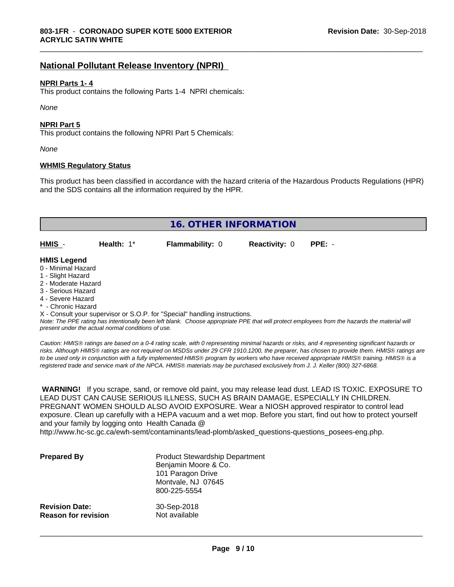### **National Pollutant Release Inventory (NPRI)**

### **NPRI Parts 1- 4**

This product contains the following Parts 1-4 NPRI chemicals:

*None*

### **NPRI Part 5**

This product contains the following NPRI Part 5 Chemicals:

*None*

### **WHMIS Regulatory Status**

This product has been classified in accordance with the hazard criteria of the Hazardous Products Regulations (HPR) and the SDS contains all the information required by the HPR.

\_\_\_\_\_\_\_\_\_\_\_\_\_\_\_\_\_\_\_\_\_\_\_\_\_\_\_\_\_\_\_\_\_\_\_\_\_\_\_\_\_\_\_\_\_\_\_\_\_\_\_\_\_\_\_\_\_\_\_\_\_\_\_\_\_\_\_\_\_\_\_\_\_\_\_\_\_\_\_\_\_\_\_\_\_\_\_\_\_\_\_\_\_

| <b>16. OTHER INFORMATION</b>                                                                                                                          |                                                    |                                                                            |                      |                                                                                                                                               |
|-------------------------------------------------------------------------------------------------------------------------------------------------------|----------------------------------------------------|----------------------------------------------------------------------------|----------------------|-----------------------------------------------------------------------------------------------------------------------------------------------|
| HMIS -                                                                                                                                                | Health: $1*$                                       | <b>Flammability: 0</b>                                                     | <b>Reactivity: 0</b> | $PPE: -$                                                                                                                                      |
| <b>HMIS Legend</b><br>0 - Minimal Hazard<br>1 - Slight Hazard<br>2 - Moderate Hazard<br>3 - Serious Hazard<br>4 - Severe Hazard<br>* - Chronic Hazard | present under the actual normal conditions of use. | X - Consult your supervisor or S.O.P. for "Special" handling instructions. |                      | Note: The PPE rating has intentionally been left blank. Choose appropriate PPE that will protect employees from the hazards the material will |

*Caution: HMISÒ ratings are based on a 0-4 rating scale, with 0 representing minimal hazards or risks, and 4 representing significant hazards or risks. Although HMISÒ ratings are not required on MSDSs under 29 CFR 1910.1200, the preparer, has chosen to provide them. HMISÒ ratings are to be used only in conjunction with a fully implemented HMISÒ program by workers who have received appropriate HMISÒ training. HMISÒ is a registered trade and service mark of the NPCA. HMISÒ materials may be purchased exclusively from J. J. Keller (800) 327-6868.*

 **WARNING!** If you scrape, sand, or remove old paint, you may release lead dust. LEAD IS TOXIC. EXPOSURE TO LEAD DUST CAN CAUSE SERIOUS ILLNESS, SUCH AS BRAIN DAMAGE, ESPECIALLY IN CHILDREN. PREGNANT WOMEN SHOULD ALSO AVOID EXPOSURE.Wear a NIOSH approved respirator to control lead exposure. Clean up carefully with a HEPA vacuum and a wet mop. Before you start, find out how to protect yourself and your family by logging onto Health Canada @

http://www.hc-sc.gc.ca/ewh-semt/contaminants/lead-plomb/asked\_questions-questions\_posees-eng.php.

| <b>Prepared By</b>         | <b>Product Stewardship Department</b><br>Benjamin Moore & Co.<br>101 Paragon Drive<br>Montvale, NJ 07645<br>800-225-5554 |
|----------------------------|--------------------------------------------------------------------------------------------------------------------------|
| <b>Revision Date:</b>      | 30-Sep-2018                                                                                                              |
| <b>Reason for revision</b> | Not available                                                                                                            |